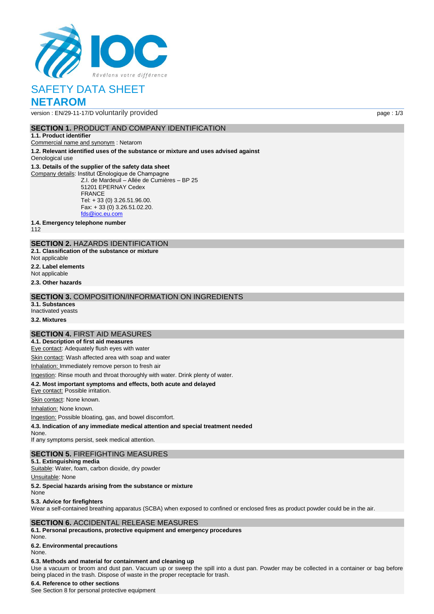

# SAFETY DATA SHEET **NETAROM**

version : EN/29-11-17/D voluntarily provided page : 1/3

## **SECTION 1.** PRODUCT AND COMPANY IDENTIFICATION

#### **1.1. Product identifier**

Commercial name and synonym : Netarom

**1.2. Relevant identified uses of the substance or mixture and uses advised against** Oenological use

### **1.3. Details of the supplier of the safety data sheet**

Company details: Institut Œnologique de Champagne Z.I. de Mardeuil – Allée de Cumières – BP 25 51201 EPERNAY Cedex FRANCE Tel: + 33 (0) 3.26.51.96.00. Fax: + 33 (0) 3.26.51.02.20. [fds@ioc.eu.com](mailto:fds@ioc.eu.com)

**1.4. Emergency telephone number**

112

## **SECTION 2.** HAZARDS IDENTIFICATION

**2.1. Classification of the substance or mixture**

- Not applicable
- **2.2. Label elements**
- Not applicable

**2.3. Other hazards**

### **SECTION 3.** COMPOSITION/INFORMATION ON INGREDIENTS

- **3.1. Substances**
- Inactivated yeasts

**3.2. Mixtures**

## **SECTION 4.** FIRST AID MEASURES

**4.1. Description of first aid measures** Eye contact: Adequately flush eyes with water

Skin contact: Wash affected area with soap and water

Inhalation: Immediately remove person to fresh air

Ingestion: Rinse mouth and throat thoroughly with water. Drink plenty of water.

# **4.2. Most important symptoms and effects, both acute and delayed**

Eye contact: Possible irritation.

Skin contact: None known.

Inhalation: None known.

Ingestion: Possible bloating, gas, and bowel discomfort.

**4.3. Indication of any immediate medical attention and special treatment needed**

None.

If any symptoms persist, seek medical attention.

### **SECTION 5.** FIREFIGHTING MEASURES

**5.1. Extinguishing media** Suitable: Water, foam, carbon dioxide, dry powder

Unsuitable: None

**5.2. Special hazards arising from the substance or mixture**

None

#### **5.3. Advice for firefighters**

Wear a self-contained breathing apparatus (SCBA) when exposed to confined or enclosed fires as product powder could be in the air.

### **SECTION 6.** ACCIDENTAL RELEASE MEASURES

**6.1. Personal precautions, protective equipment and emergency procedures** None.

## **6.2. Environmental precautions**

None.

## **6.3. Methods and material for containment and cleaning up**

Use a vacuum or broom and dust pan. Vacuum up or sweep the spill into a dust pan. Powder may be collected in a container or bag before being placed in the trash. Dispose of waste in the proper receptacle for trash.

#### **6.4. Reference to other sections**

See Section 8 for personal protective equipment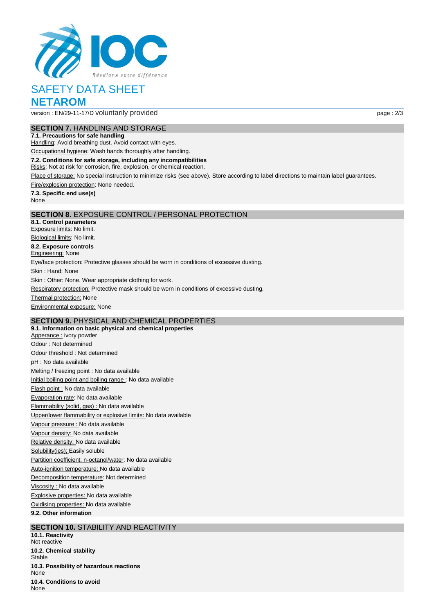

# SAFETY DATA SHEET **NETAROM**

version : EN/29-11-17/D voluntarily provided page : 2/3

### **SECTION 7.** HANDLING AND STORAGE

**7.1. Precautions for safe handling**

Handling: Avoid breathing dust. Avoid contact with eyes.

Occupational hygiene: Wash hands thoroughly after handling.

**7.2. Conditions for safe storage, including any incompatibilities**

Risks: Not at risk for corrosion, fire, explosion, or chemical reaction.

Place of storage: No special instruction to minimize risks (see above). Store according to label directions to maintain label guarantees.

Fire/explosion protection: None needed.

**7.3. Specific end use(s)** None

### **SECTION 8.** EXPOSURE CONTROL / PERSONAL PROTECTION

**8.1. Control parameters** Exposure limits: No limit. Biological limits: No limit. **8.2. Exposure controls Engineering: None** Eye/face protection: Protective glasses should be worn in conditions of excessive dusting. Skin: Hand: None Skin : Other: None. Wear appropriate clothing for work. Respiratory protection: Protective mask should be worn in conditions of excessive dusting. **Thermal protection: None** Environmental exposure: None

## **SECTION 9.** PHYSICAL AND CHEMICAL PROPERTIES

**9.1. Information on basic physical and chemical properties** Apperance : ivory powder Odour : Not determined Odour threshold : Not determined pH : No data available Melting / freezing point : No data available Initial boiling point and boiling range : No data available Flash point : No data available Evaporation rate: No data available Flammability (solid, gas) : No data available Upper/lower flammability or explosive limits: No data available Vapour pressure : No data available Vapour density: No data available Relative density: No data available Solubility(ies); Easily soluble Partition coefficient: n-octanol/water: No data available Auto-ignition temperature: No data available Decomposition temperature: Not determined Viscosity : No data available Explosive properties: No data available Oxidising properties: No data available **9.2. Other information**

## **SECTION 10.** STABILITY AND REACTIVITY

**10.1. Reactivity** Not reactive **10.2. Chemical stability Stable 10.3. Possibility of hazardous reactions** None **10.4. Conditions to avoid** None